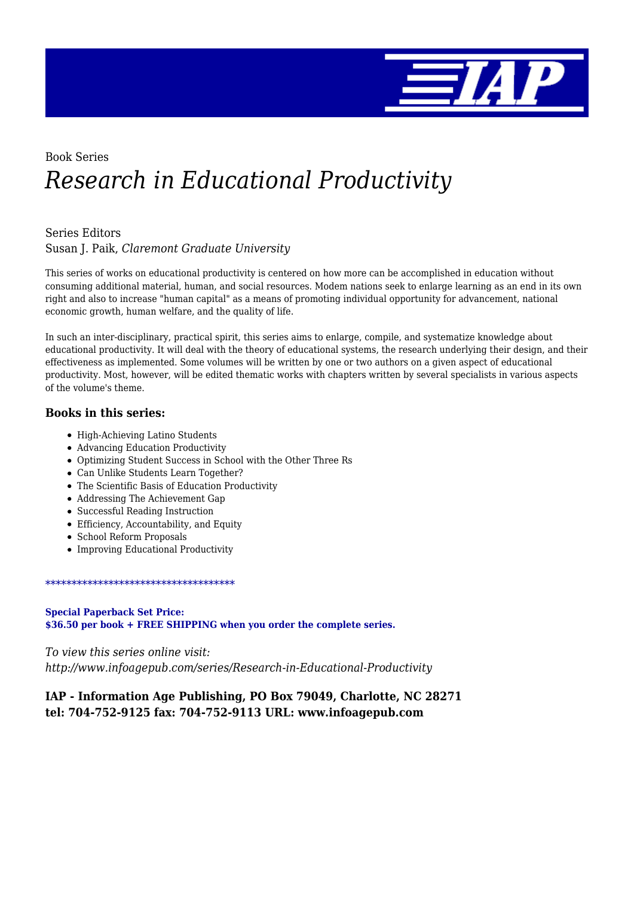

# Book Series *Research in Educational Productivity*

#### Series Editors

Susan J. Paik, *Claremont Graduate University*

This series of works on educational productivity is centered on how more can be accomplished in education without consuming additional material, human, and social resources. Modem nations seek to enlarge learning as an end in its own right and also to increase "human capital" as a means of promoting individual opportunity for advancement, national economic growth, human welfare, and the quality of life.

In such an inter-disciplinary, practical spirit, this series aims to enlarge, compile, and systematize knowledge about educational productivity. It will deal with the theory of educational systems, the research underlying their design, and their effectiveness as implemented. Some volumes will be written by one or two authors on a given aspect of educational productivity. Most, however, will be edited thematic works with chapters written by several specialists in various aspects of the volume's theme.

#### **Books in this series:**

- High-Achieving Latino Students
- Advancing Education Productivity
- Optimizing Student Success in School with the Other Three Rs
- Can Unlike Students Learn Together?
- The Scientific Basis of Education Productivity
- Addressing The Achievement Gap
- Successful Reading Instruction
- Efficiency, Accountability, and Equity
- School Reform Proposals
- Improving Educational Productivity

\*\*\*\*\*\*\*\*\*\*\*\*\*\*\*\*\*\*\*\*\*\*\*\*\*\*\*\*\*\*\*\*\*\*\*\*

**Special Paperback Set Price: \$36.50 per book + FREE SHIPPING when you order the complete series.**

*To view this series online visit: http://www.infoagepub.com/series/Research-in-Educational-Productivity*

#### **IAP - Information Age Publishing, PO Box 79049, Charlotte, NC 28271 tel: 704-752-9125 fax: 704-752-9113 URL: www.infoagepub.com**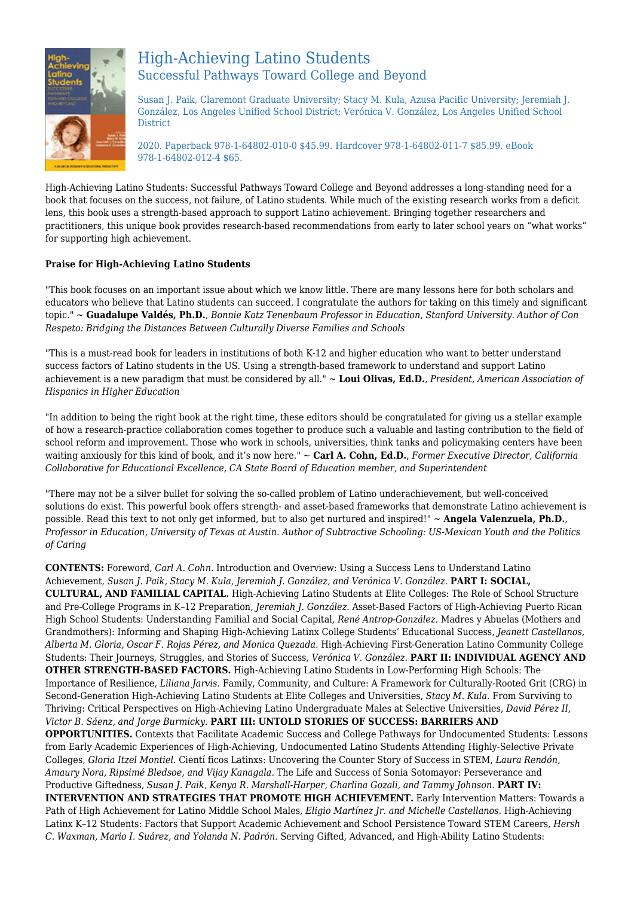

# High-Achieving Latino Students Successful Pathways Toward College and Beyond

Susan J. Paik, Claremont Graduate University; Stacy M. Kula, Azusa Pacific University; Jeremiah J. González, Los Angeles Unified School District; Verónica V. González, Los Angeles Unified School District

2020. Paperback 978-1-64802-010-0 \$45.99. Hardcover 978-1-64802-011-7 \$85.99. eBook 978-1-64802-012-4 \$65.

High-Achieving Latino Students: Successful Pathways Toward College and Beyond addresses a long-standing need for a book that focuses on the success, not failure, of Latino students. While much of the existing research works from a deficit lens, this book uses a strength-based approach to support Latino achievement. Bringing together researchers and practitioners, this unique book provides research-based recommendations from early to later school years on "what works" for supporting high achievement.

#### **Praise for High-Achieving Latino Students**

"This book focuses on an important issue about which we know little. There are many lessons here for both scholars and educators who believe that Latino students can succeed. I congratulate the authors for taking on this timely and significant topic." ~ **Guadalupe Valdés, Ph.D.**, *Bonnie Katz Tenenbaum Professor in Education, Stanford University. Author of Con Respeto: Bridging the Distances Between Culturally Diverse Families and Schools*

"This is a must-read book for leaders in institutions of both K-12 and higher education who want to better understand success factors of Latino students in the US. Using a strength-based framework to understand and support Latino achievement is a new paradigm that must be considered by all." ~ **Loui Olivas, Ed.D.**, *President, American Association of Hispanics in Higher Education*

"In addition to being the right book at the right time, these editors should be congratulated for giving us a stellar example of how a research-practice collaboration comes together to produce such a valuable and lasting contribution to the field of school reform and improvement. Those who work in schools, universities, think tanks and policymaking centers have been waiting anxiously for this kind of book, and it's now here." ~ **Carl A. Cohn, Ed.D.**, *Former Executive Director, California Collaborative for Educational Excellence, CA State Board of Education member, and Superintendent*

"There may not be a silver bullet for solving the so-called problem of Latino underachievement, but well-conceived solutions do exist. This powerful book offers strength- and asset-based frameworks that demonstrate Latino achievement is possible. Read this text to not only get informed, but to also get nurtured and inspired!" ~ **Angela Valenzuela, Ph.D.**, *Professor in Education, University of Texas at Austin. Author of Subtractive Schooling: US-Mexican Youth and the Politics of Caring*

**CONTENTS:** Foreword, *Carl A. Cohn.* Introduction and Overview: Using a Success Lens to Understand Latino Achievement, *Susan J. Paik, Stacy M. Kula, Jeremiah J. González, and Verónica V. González.* **PART I: SOCIAL, CULTURAL, AND FAMILIAL CAPITAL.** High-Achieving Latino Students at Elite Colleges: The Role of School Structure and Pre-College Programs in K–12 Preparation, *Jeremiah J. González.* Asset-Based Factors of High-Achieving Puerto Rican High School Students: Understanding Familial and Social Capital, *René Antrop-González.* Madres y Abuelas (Mothers and Grandmothers): Informing and Shaping High-Achieving Latinx College Students' Educational Success, *Jeanett Castellanos, Alberta M. Gloria, Oscar F. Rojas Pérez, and Monica Quezada.* High-Achieving First-Generation Latino Community College Students: Their Journeys, Struggles, and Stories of Success, *Verónica V. González.* **PART II: INDIVIDUAL AGENCY AND OTHER STRENGTH-BASED FACTORS.** High-Achieving Latino Students in Low-Performing High Schools: The Importance of Resilience, *Liliana Jarvis.* Family, Community, and Culture: A Framework for Culturally-Rooted Grit (CRG) in Second-Generation High-Achieving Latino Students at Elite Colleges and Universities, *Stacy M. Kula.* From Surviving to Thriving: Critical Perspectives on High-Achieving Latino Undergraduate Males at Selective Universities, *David Pérez II, Victor B. Sáenz, and Jorge Burmicky.* **PART III: UNTOLD STORIES OF SUCCESS: BARRIERS AND OPPORTUNITIES.** Contexts that Facilitate Academic Success and College Pathways for Undocumented Students: Lessons from Early Academic Experiences of High-Achieving, Undocumented Latino Students Attending Highly-Selective Private Colleges, *Gloria Itzel Montiel.* Cientí ficos Latinxs: Uncovering the Counter Story of Success in STEM, *Laura Rendón, Amaury Nora, Ripsimé Bledsoe, and Vijay Kanagala.* The Life and Success of Sonia Sotomayor: Perseverance and Productive Giftedness, *Susan J. Paik, Kenya R. Marshall-Harper, Charlina Gozali, and Tammy Johnson.* **PART IV: INTERVENTION AND STRATEGIES THAT PROMOTE HIGH ACHIEVEMENT.** Early Intervention Matters: Towards a Path of High Achievement for Latino Middle School Males, *Eligio Martínez Jr. and Michelle Castellanos.* High-Achieving Latinx K–12 Students: Factors that Support Academic Achievement and School Persistence Toward STEM Careers, *Hersh C. Waxman, Mario I. Suárez, and Yolanda N. Padrón.* Serving Gifted, Advanced, and High-Ability Latino Students: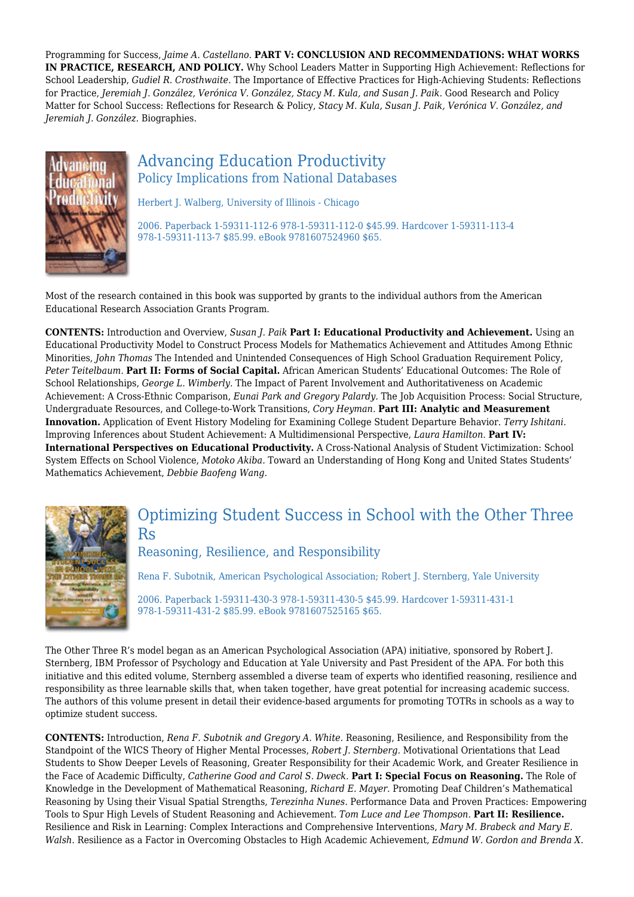Programming for Success, *Jaime A. Castellano.* **PART V: CONCLUSION AND RECOMMENDATIONS: WHAT WORKS IN PRACTICE, RESEARCH, AND POLICY.** Why School Leaders Matter in Supporting High Achievement: Reflections for School Leadership, *Gudiel R. Crosthwaite.* The Importance of Effective Practices for High-Achieving Students: Reflections for Practice, *Jeremiah J. González, Verónica V. González, Stacy M. Kula, and Susan J. Paik.* Good Research and Policy Matter for School Success: Reflections for Research & Policy, *Stacy M. Kula, Susan J. Paik, Verónica V. González, and Jeremiah J. González.* Biographies.



### Advancing Education Productivity Policy Implications from National Databases

Herbert J. Walberg, University of Illinois - Chicago

2006. Paperback 1-59311-112-6 978-1-59311-112-0 \$45.99. Hardcover 1-59311-113-4 978-1-59311-113-7 \$85.99. eBook 9781607524960 \$65.

Most of the research contained in this book was supported by grants to the individual authors from the American Educational Research Association Grants Program.

**CONTENTS:** Introduction and Overview, *Susan J. Paik* **Part I: Educational Productivity and Achievement.** Using an Educational Productivity Model to Construct Process Models for Mathematics Achievement and Attitudes Among Ethnic Minorities, *John Thomas* The Intended and Unintended Consequences of High School Graduation Requirement Policy, *Peter Teitelbaum.* **Part II: Forms of Social Capital.** African American Students' Educational Outcomes: The Role of School Relationships, *George L. Wimberly.* The Impact of Parent Involvement and Authoritativeness on Academic Achievement: A Cross-Ethnic Comparison, *Eunai Park and Gregory Palardy.* The Job Acquisition Process: Social Structure, Undergraduate Resources, and College-to-Work Transitions, *Cory Heyman.* **Part III: Analytic and Measurement Innovation.** Application of Event History Modeling for Examining College Student Departure Behavior. *Terry Ishitani.* Improving Inferences about Student Achievement: A Multidimensional Perspective, *Laura Hamilton.* **Part IV: International Perspectives on Educational Productivity.** A Cross-National Analysis of Student Victimization: School System Effects on School Violence, *Motoko Akiba.* Toward an Understanding of Hong Kong and United States Students' Mathematics Achievement, *Debbie Baofeng Wang.*



### Optimizing Student Success in School with the Other Three Rs

#### Reasoning, Resilience, and Responsibility

Rena F. Subotnik, American Psychological Association; Robert J. Sternberg, Yale University

2006. Paperback 1-59311-430-3 978-1-59311-430-5 \$45.99. Hardcover 1-59311-431-1 978-1-59311-431-2 \$85.99. eBook 9781607525165 \$65.

The Other Three R's model began as an American Psychological Association (APA) initiative, sponsored by Robert J. Sternberg, IBM Professor of Psychology and Education at Yale University and Past President of the APA. For both this initiative and this edited volume, Sternberg assembled a diverse team of experts who identified reasoning, resilience and responsibility as three learnable skills that, when taken together, have great potential for increasing academic success. The authors of this volume present in detail their evidence-based arguments for promoting TOTRs in schools as a way to optimize student success.

**CONTENTS:** Introduction, *Rena F. Subotnik and Gregory A. White.* Reasoning, Resilience, and Responsibility from the Standpoint of the WICS Theory of Higher Mental Processes, *Robert J. Sternberg.* Motivational Orientations that Lead Students to Show Deeper Levels of Reasoning, Greater Responsibility for their Academic Work, and Greater Resilience in the Face of Academic Difficulty, *Catherine Good and Carol S. Dweck.* **Part I: Special Focus on Reasoning.** The Role of Knowledge in the Development of Mathematical Reasoning, *Richard E. Mayer.* Promoting Deaf Children's Mathematical Reasoning by Using their Visual Spatial Strengths, *Terezinha Nunes.* Performance Data and Proven Practices: Empowering Tools to Spur High Levels of Student Reasoning and Achievement. *Tom Luce and Lee Thompson.* **Part II: Resilience.** Resilience and Risk in Learning: Complex Interactions and Comprehensive Interventions, *Mary M. Brabeck and Mary E. Walsh.* Resilience as a Factor in Overcoming Obstacles to High Academic Achievement, *Edmund W. Gordon and Brenda X.*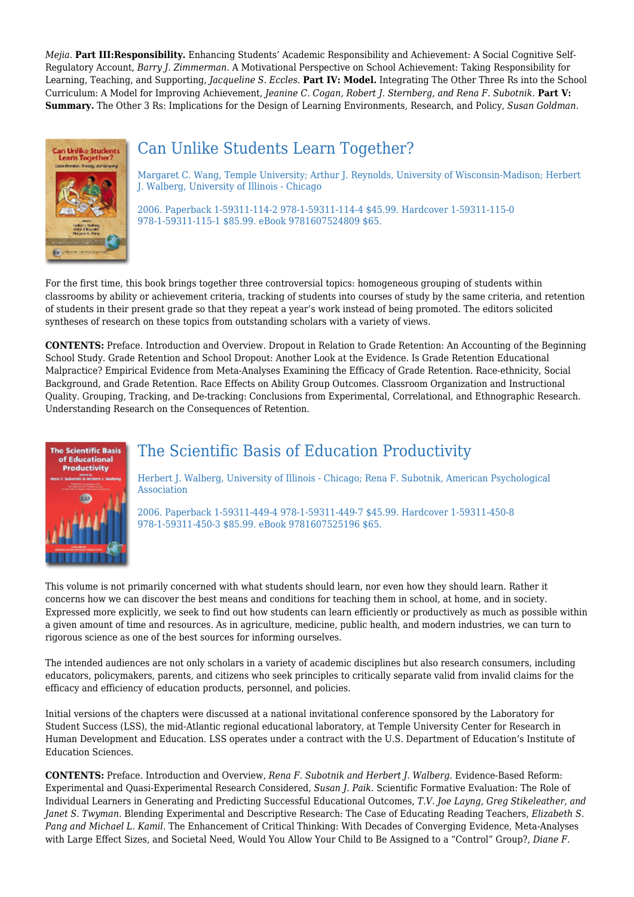*Mejia.* **Part III:Responsibility.** Enhancing Students' Academic Responsibility and Achievement: A Social Cognitive Self-Regulatory Account, *Barry J. Zimmerman.* A Motivational Perspective on School Achievement: Taking Responsibility for Learning, Teaching, and Supporting, *Jacqueline S. Eccles.* **Part IV: Model.** Integrating The Other Three Rs into the School Curriculum: A Model for Improving Achievement, *Jeanine C. Cogan, Robert J. Sternberg, and Rena F. Subotnik.* **Part V: Summary.** The Other 3 Rs: Implications for the Design of Learning Environments, Research, and Policy, *Susan Goldman.*



# Can Unlike Students Learn Together?

Margaret C. Wang, Temple University; Arthur J. Reynolds, University of Wisconsin-Madison; Herbert J. Walberg, University of Illinois - Chicago

2006. Paperback 1-59311-114-2 978-1-59311-114-4 \$45.99. Hardcover 1-59311-115-0 978-1-59311-115-1 \$85.99. eBook 9781607524809 \$65.

For the first time, this book brings together three controversial topics: homogeneous grouping of students within classrooms by ability or achievement criteria, tracking of students into courses of study by the same criteria, and retention of students in their present grade so that they repeat a year's work instead of being promoted. The editors solicited syntheses of research on these topics from outstanding scholars with a variety of views.

**CONTENTS:** Preface. Introduction and Overview. Dropout in Relation to Grade Retention: An Accounting of the Beginning School Study. Grade Retention and School Dropout: Another Look at the Evidence. Is Grade Retention Educational Malpractice? Empirical Evidence from Meta-Analyses Examining the Efficacy of Grade Retention. Race-ethnicity, Social Background, and Grade Retention. Race Effects on Ability Group Outcomes. Classroom Organization and Instructional Quality. Grouping, Tracking, and De-tracking: Conclusions from Experimental, Correlational, and Ethnographic Research. Understanding Research on the Consequences of Retention.



# The Scientific Basis of Education Productivity

Herbert J. Walberg, University of Illinois - Chicago; Rena F. Subotnik, American Psychological Association

2006. Paperback 1-59311-449-4 978-1-59311-449-7 \$45.99. Hardcover 1-59311-450-8 978-1-59311-450-3 \$85.99. eBook 9781607525196 \$65.

This volume is not primarily concerned with what students should learn, nor even how they should learn. Rather it concerns how we can discover the best means and conditions for teaching them in school, at home, and in society. Expressed more explicitly, we seek to find out how students can learn efficiently or productively as much as possible within a given amount of time and resources. As in agriculture, medicine, public health, and modern industries, we can turn to rigorous science as one of the best sources for informing ourselves.

The intended audiences are not only scholars in a variety of academic disciplines but also research consumers, including educators, policymakers, parents, and citizens who seek principles to critically separate valid from invalid claims for the efficacy and efficiency of education products, personnel, and policies.

Initial versions of the chapters were discussed at a national invitational conference sponsored by the Laboratory for Student Success (LSS), the mid-Atlantic regional educational laboratory, at Temple University Center for Research in Human Development and Education. LSS operates under a contract with the U.S. Department of Education's Institute of Education Sciences.

**CONTENTS:** Preface. Introduction and Overview, *Rena F. Subotnik and Herbert J. Walberg.* Evidence-Based Reform: Experimental and Quasi-Experimental Research Considered, *Susan J. Paik.* Scientific Formative Evaluation: The Role of Individual Learners in Generating and Predicting Successful Educational Outcomes, *T.V. Joe Layng, Greg Stikeleather, and Janet S. Twyman.* Blending Experimental and Descriptive Research: The Case of Educating Reading Teachers, *Elizabeth S. Pang and Michael L. Kamil.* The Enhancement of Critical Thinking: With Decades of Converging Evidence, Meta-Analyses with Large Effect Sizes, and Societal Need, Would You Allow Your Child to Be Assigned to a "Control" Group?, *Diane F.*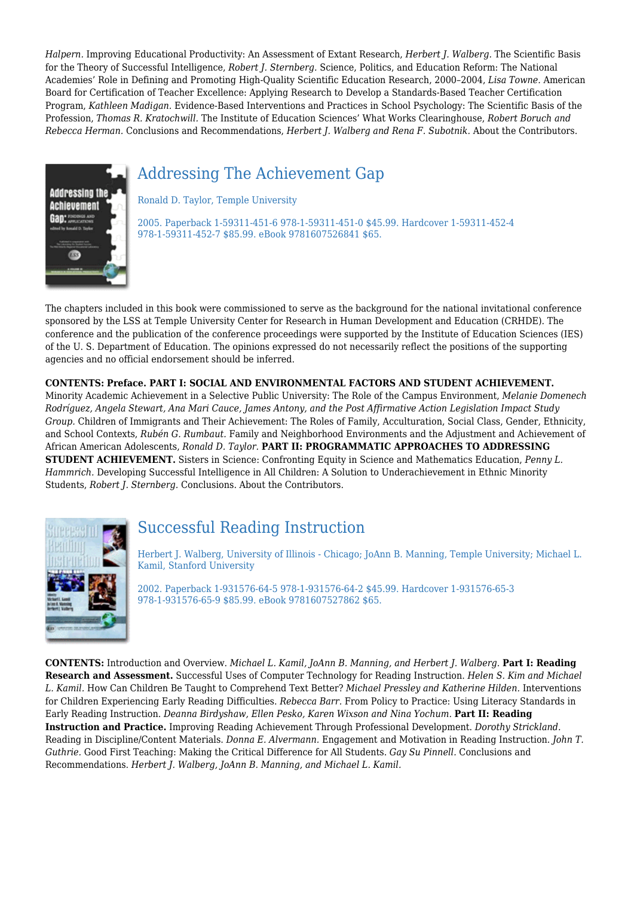*Halpern.* Improving Educational Productivity: An Assessment of Extant Research, *Herbert J. Walberg.* The Scientific Basis for the Theory of Successful Intelligence, *Robert J. Sternberg.* Science, Politics, and Education Reform: The National Academies' Role in Defining and Promoting High-Quality Scientific Education Research, 2000–2004, *Lisa Towne.* American Board for Certification of Teacher Excellence: Applying Research to Develop a Standards-Based Teacher Certification Program, *Kathleen Madigan.* Evidence-Based Interventions and Practices in School Psychology: The Scientific Basis of the Profession, *Thomas R. Kratochwill.* The Institute of Education Sciences' What Works Clearinghouse, *Robert Boruch and Rebecca Herman.* Conclusions and Recommendations, *Herbert J. Walberg and Rena F. Subotnik.* About the Contributors.

# Addressing The Achievement Gap



Ronald D. Taylor, Temple University

2005. Paperback 1-59311-451-6 978-1-59311-451-0 \$45.99. Hardcover 1-59311-452-4 978-1-59311-452-7 \$85.99. eBook 9781607526841 \$65.

The chapters included in this book were commissioned to serve as the background for the national invitational conference sponsored by the LSS at Temple University Center for Research in Human Development and Education (CRHDE). The conference and the publication of the conference proceedings were supported by the Institute of Education Sciences (IES) of the U. S. Department of Education. The opinions expressed do not necessarily reflect the positions of the supporting agencies and no official endorsement should be inferred.

#### **CONTENTS: Preface. PART I: SOCIAL AND ENVIRONMENTAL FACTORS AND STUDENT ACHIEVEMENT.**

Minority Academic Achievement in a Selective Public University: The Role of the Campus Environment, *Melanie Domenech Rodríguez, Angela Stewart, Ana Mari Cauce, James Antony, and the Post Affirmative Action Legislation Impact Study Group.* Children of Immigrants and Their Achievement: The Roles of Family, Acculturation, Social Class, Gender, Ethnicity, and School Contexts, *Rubén G. Rumbaut.* Family and Neighborhood Environments and the Adjustment and Achievement of African American Adolescents, *Ronald D. Taylor.* **PART II: PROGRAMMATIC APPROACHES TO ADDRESSING STUDENT ACHIEVEMENT.** Sisters in Science: Confronting Equity in Science and Mathematics Education, *Penny L. Hammrich.* Developing Successful Intelligence in All Children: A Solution to Underachievement in Ethnic Minority Students, *Robert J. Sternberg.* Conclusions. About the Contributors.



# Successful Reading Instruction

Herbert J. Walberg, University of Illinois - Chicago; JoAnn B. Manning, Temple University; Michael L. Kamil, Stanford University

2002. Paperback 1-931576-64-5 978-1-931576-64-2 \$45.99. Hardcover 1-931576-65-3 978-1-931576-65-9 \$85.99. eBook 9781607527862 \$65.

**CONTENTS:** Introduction and Overview. *Michael L. Kamil, JoAnn B. Manning, and Herbert J. Walberg.* **Part I: Reading Research and Assessment.** Successful Uses of Computer Technology for Reading Instruction. *Helen S. Kim and Michael L. Kamil.* How Can Children Be Taught to Comprehend Text Better? *Michael Pressley and Katherine Hilden.* Interventions for Children Experiencing Early Reading Difficulties. *Rebecca Barr.* From Policy to Practice: Using Literacy Standards in Early Reading Instruction. *Deanna Birdyshaw, Ellen Pesko, Karen Wixson and Nina Yochum.* **Part II: Reading Instruction and Practice.** Improving Reading Achievement Through Professional Development. *Dorothy Strickland.* Reading in Discipline/Content Materials. *Donna E. Alvermann.* Engagement and Motivation in Reading Instruction. *John T. Guthrie.* Good First Teaching: Making the Critical Difference for All Students. *Gay Su Pinnell.* Conclusions and Recommendations. *Herbert J. Walberg, JoAnn B. Manning, and Michael L. Kamil.*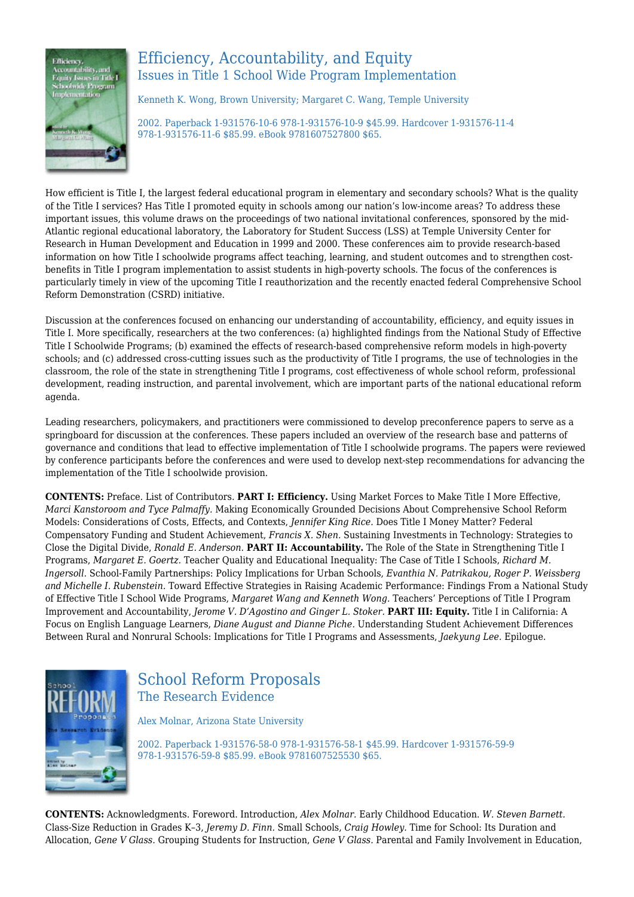

### Efficiency, Accountability, and Equity Issues in Title 1 School Wide Program Implementation

Kenneth K. Wong, Brown University; Margaret C. Wang, Temple University

2002. Paperback 1-931576-10-6 978-1-931576-10-9 \$45.99. Hardcover 1-931576-11-4 978-1-931576-11-6 \$85.99. eBook 9781607527800 \$65.

How efficient is Title I, the largest federal educational program in elementary and secondary schools? What is the quality of the Title I services? Has Title I promoted equity in schools among our nation's low-income areas? To address these important issues, this volume draws on the proceedings of two national invitational conferences, sponsored by the mid-Atlantic regional educational laboratory, the Laboratory for Student Success (LSS) at Temple University Center for Research in Human Development and Education in 1999 and 2000. These conferences aim to provide research-based information on how Title I schoolwide programs affect teaching, learning, and student outcomes and to strengthen costbenefits in Title I program implementation to assist students in high-poverty schools. The focus of the conferences is particularly timely in view of the upcoming Title I reauthorization and the recently enacted federal Comprehensive School Reform Demonstration (CSRD) initiative.

Discussion at the conferences focused on enhancing our understanding of accountability, efficiency, and equity issues in Title I. More specifically, researchers at the two conferences: (a) highlighted findings from the National Study of Effective Title I Schoolwide Programs; (b) examined the effects of research-based comprehensive reform models in high-poverty schools; and (c) addressed cross-cutting issues such as the productivity of Title I programs, the use of technologies in the classroom, the role of the state in strengthening Title I programs, cost effectiveness of whole school reform, professional development, reading instruction, and parental involvement, which are important parts of the national educational reform agenda.

Leading researchers, policymakers, and practitioners were commissioned to develop preconference papers to serve as a springboard for discussion at the conferences. These papers included an overview of the research base and patterns of governance and conditions that lead to effective implementation of Title I schoolwide programs. The papers were reviewed by conference participants before the conferences and were used to develop next-step recommendations for advancing the implementation of the Title I schoolwide provision.

**CONTENTS:** Preface. List of Contributors. **PART I: Efficiency.** Using Market Forces to Make Title I More Effective, *Marci Kanstoroom and Tyce Palmaffy.* Making Economically Grounded Decisions About Comprehensive School Reform Models: Considerations of Costs, Effects, and Contexts, *Jennifer King Rice.* Does Title I Money Matter? Federal Compensatory Funding and Student Achievement, *Francis X. Shen.* Sustaining Investments in Technology: Strategies to Close the Digital Divide, *Ronald E. Anderson.* **PART II: Accountability.** The Role of the State in Strengthening Title I Programs, *Margaret E. Goertz.* Teacher Quality and Educational Inequality: The Case of Title I Schools, *Richard M. Ingersoll.* School-Family Partnerships: Policy Implications for Urban Schools, *Evanthia N. Patrikakou, Roger P. Weissberg and Michelle I. Rubenstein.* Toward Effective Strategies in Raising Academic Performance: Findings From a National Study of Effective Title I School Wide Programs, *Margaret Wang and Kenneth Wong.* Teachers' Perceptions of Title I Program Improvement and Accountability, *Jerome V. D'Agostino and Ginger L. Stoker.* **PART III: Equity.** Title I in California: A Focus on English Language Learners, *Diane August and Dianne Piche.* Understanding Student Achievement Differences Between Rural and Nonrural Schools: Implications for Title I Programs and Assessments, *Jaekyung Lee.* Epilogue.



# School Reform Proposals The Research Evidence

Alex Molnar, Arizona State University

2002. Paperback 1-931576-58-0 978-1-931576-58-1 \$45.99. Hardcover 1-931576-59-9 978-1-931576-59-8 \$85.99. eBook 9781607525530 \$65.

**CONTENTS:** Acknowledgments. Foreword. Introduction, *Alex Molnar.* Early Childhood Education. *W. Steven Barnett.* Class-Size Reduction in Grades K–3, *Jeremy D. Finn.* Small Schools, *Craig Howley.* Time for School: Its Duration and Allocation, *Gene V Glass.* Grouping Students for Instruction, *Gene V Glass.* Parental and Family Involvement in Education,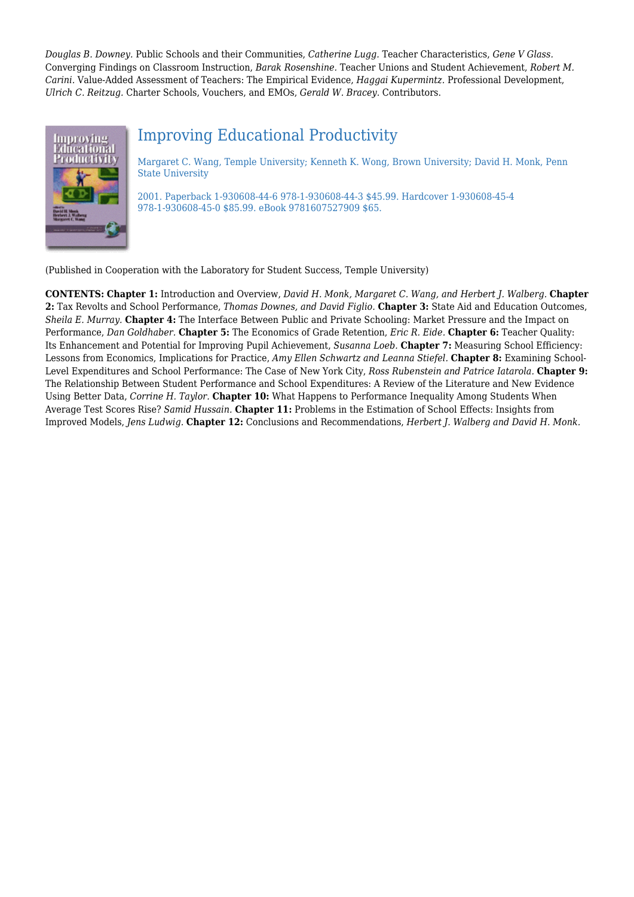*Douglas B. Downey.* Public Schools and their Communities, *Catherine Lugg.* Teacher Characteristics, *Gene V Glass.* Converging Findings on Classroom Instruction, *Barak Rosenshine.* Teacher Unions and Student Achievement, *Robert M. Carini.* Value-Added Assessment of Teachers: The Empirical Evidence, *Haggai Kupermintz.* Professional Development, *Ulrich C. Reitzug.* Charter Schools, Vouchers, and EMOs, *Gerald W. Bracey.* Contributors.



# Improving Educational Productivity

Margaret C. Wang, Temple University; Kenneth K. Wong, Brown University; David H. Monk, Penn State University

2001. Paperback 1-930608-44-6 978-1-930608-44-3 \$45.99. Hardcover 1-930608-45-4 978-1-930608-45-0 \$85.99. eBook 9781607527909 \$65.

(Published in Cooperation with the Laboratory for Student Success, Temple University)

**CONTENTS: Chapter 1:** Introduction and Overview, *David H. Monk, Margaret C. Wang, and Herbert J. Walberg.* **Chapter 2:** Tax Revolts and School Performance, *Thomas Downes, and David Figlio.* **Chapter 3:** State Aid and Education Outcomes, *Sheila E. Murray.* **Chapter 4:** The Interface Between Public and Private Schooling: Market Pressure and the Impact on Performance, *Dan Goldhaber.* **Chapter 5:** The Economics of Grade Retention, *Eric R. Eide.* **Chapter 6:** Teacher Quality: Its Enhancement and Potential for Improving Pupil Achievement, *Susanna Loeb.* **Chapter 7:** Measuring School Efficiency: Lessons from Economics, Implications for Practice, *Amy Ellen Schwartz and Leanna Stiefel.* **Chapter 8:** Examining School-Level Expenditures and School Performance: The Case of New York City, *Ross Rubenstein and Patrice Iatarola.* **Chapter 9:** The Relationship Between Student Performance and School Expenditures: A Review of the Literature and New Evidence Using Better Data, *Corrine H. Taylor.* **Chapter 10:** What Happens to Performance Inequality Among Students When Average Test Scores Rise? *Samid Hussain.* **Chapter 11:** Problems in the Estimation of School Effects: Insights from Improved Models, *Jens Ludwig.* **Chapter 12:** Conclusions and Recommendations, *Herbert J. Walberg and David H. Monk.*